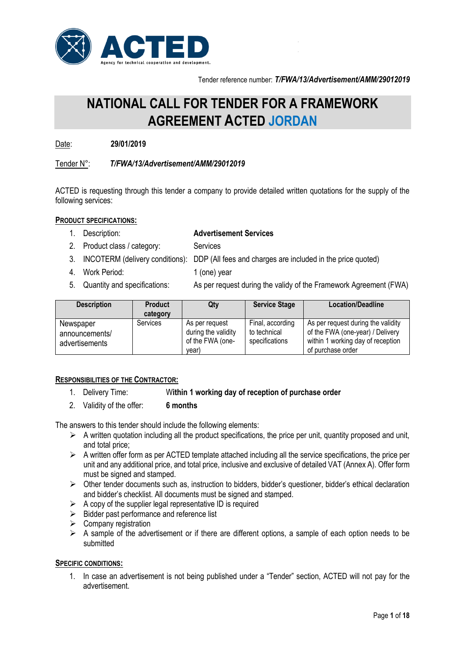

## **NATIONAL CALL FOR TENDER FOR A FRAMEWORK AGREEMENT ACTED JORDAN**

Date: **29/01/2019**

### Tender N°: *T/FWA/13/Advertisement/AMM/29012019*

ACTED is requesting through this tender a company to provide detailed written quotations for the supply of the following services:

### **PRODUCT SPECIFICATIONS:**

| Description: | <b>Advertisement Services</b> |
|--------------|-------------------------------|
|              |                               |

- 2. Product class / category: Services
- 3. INCOTERM (delivery conditions): DDP (All fees and charges are included in the price quoted)
- 4. Work Period: 1 (one) year
- 5. Quantity and specifications: As per request during the validy of the Framework Agreement (FWA)

| <b>Description</b>                            | <b>Product</b><br>category | Qty                                                                | <b>Service Stage</b>                               | <b>Location/Deadline</b>                                                                                                         |
|-----------------------------------------------|----------------------------|--------------------------------------------------------------------|----------------------------------------------------|----------------------------------------------------------------------------------------------------------------------------------|
| Newspaper<br>announcements/<br>advertisements | <b>Services</b>            | As per request<br>during the validity<br>of the FWA (one-<br>vear) | Final, according<br>to technical<br>specifications | As per request during the validity<br>of the FWA (one-year) / Delivery<br>within 1 working day of reception<br>of purchase order |

### **RESPONSIBILITIES OF THE CONTRACTOR:**

### 1. Delivery Time: W**ithin 1 working day of reception of purchase order**

2. Validity of the offer: **6 months**

The answers to this tender should include the following elements:

- $\triangleright$  A written quotation including all the product specifications, the price per unit, quantity proposed and unit, and total price;
- $\triangleright$  A written offer form as per ACTED template attached including all the service specifications, the price per unit and any additional price, and total price, inclusive and exclusive of detailed VAT (Annex A). Offer form must be signed and stamped.
- $\triangleright$  Other tender documents such as, instruction to bidders, bidder's questioner, bidder's ethical declaration and bidder's checklist. All documents must be signed and stamped.
- $\triangleright$  A copy of the supplier legal representative ID is required
- $\triangleright$  Bidder past performance and reference list
- $\triangleright$  Company registration
- $\triangleright$  A sample of the advertisement or if there are different options, a sample of each option needs to be submitted

### **SPECIFIC CONDITIONS:**

1. In case an advertisement is not being published under a "Tender" section, ACTED will not pay for the advertisement.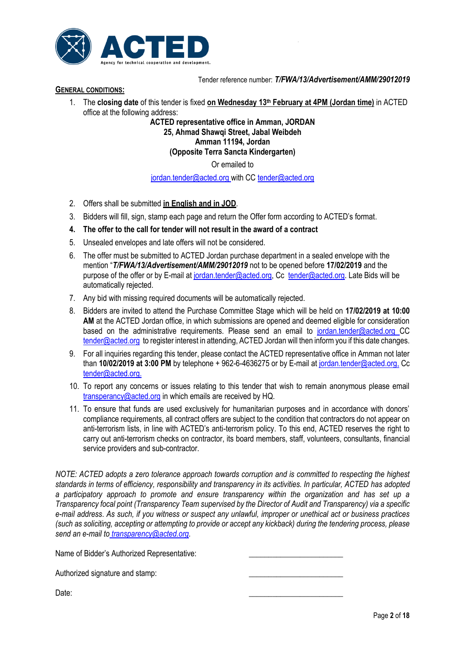

### **GENERAL CONDITIONS:**

1. The **closing date** of this tender is fixed **on Wednesday 13th February at 4PM (Jordan time)** in ACTED office at the following address:

> **ACTED representative office in Amman, JORDAN 25, Ahmad Shawqi Street, Jabal Weibdeh Amman 11194, Jordan (Opposite Terra Sancta Kindergarten)**

> > Or emailed to

#### [jordan.tender@acted.org](mailto:jordan.tender@acted.org) with CC [tender@acted.org](mailto:tender@acted.org)

- 2. Offers shall be submitted **in English and in JOD**.
- 3. Bidders will fill, sign, stamp each page and return the Offer form according to ACTED's format.
- **4. The offer to the call for tender will not result in the award of a contract**
- 5. Unsealed envelopes and late offers will not be considered.
- 6. The offer must be submitted to ACTED Jordan purchase department in a sealed envelope with the mention "*T/FWA/13/Advertisement/AMM/29012019* not to be opened before **17/02/2019** and the purpose of the offer or by E-mail at [jordan.tender@acted.org,](mailto:jordan.tender@acted.org) Cc tender@acted.org. Late Bids will be automatically rejected.
- 7. Any bid with missing required documents will be automatically rejected.
- 8. Bidders are invited to attend the Purchase Committee Stage which will be held on **17/02/2019 at 10:00 AM** at the ACTED Jordan office, in which submissions are opened and deemed eligible for consideration based on the administrative requirements. Please send an email to [jordan.tender@acted.org](mailto:jordan.tender@acted.org) CC tender@acted.org to register interest in attending, ACTED Jordan will then inform you if this date changes.
- 9. For all inquiries regarding this tender, please contact the ACTED representative office in Amman not later than **10/02/2019 at 3:00 PM** by telephone + 962-6-4636275 or by E-mail at [jordan.tender@acted.org,](mailto:country].tender@acted.org) Cc tender@acted.org.
- 10. To report any concerns or issues relating to this tender that wish to remain anonymous please email [transperancy@acted.org](mailto:transperancy@acted.org) in which emails are received by HQ.
- 11. To ensure that funds are used exclusively for humanitarian purposes and in accordance with donors' compliance requirements, all contract offers are subject to the condition that contractors do not appear on anti-terrorism lists, in line with ACTED's anti-terrorism policy. To this end, ACTED reserves the right to carry out anti-terrorism checks on contractor, its board members, staff, volunteers, consultants, financial service providers and sub-contractor.

*NOTE: ACTED adopts a zero tolerance approach towards corruption and is committed to respecting the highest standards in terms of efficiency, responsibility and transparency in its activities. In particular, ACTED has adopted a participatory approach to promote and ensure transparency within the organization and has set up a Transparency focal point (Transparency Team supervised by the Director of Audit and Transparency) via a specific e-mail address*. *As such, if you witness or suspect any unlawful, improper or unethical act or business practices (such as soliciting, accepting or attempting to provide or accept any kickback) during the tendering process, please send an e-mail to [transparency@acted.org.](mailto:transparency@acted.org)*

Name of Bidder's Authorized Representative:

Authorized signature and stamp:

Date: \_\_\_\_\_\_\_\_\_\_\_\_\_\_\_\_\_\_\_\_\_\_\_\_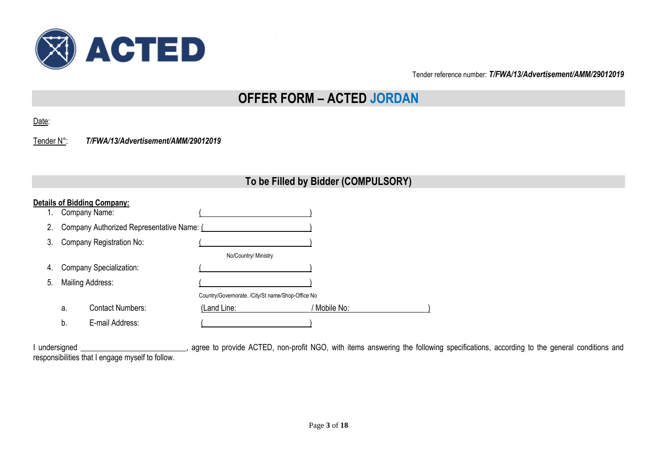

## **OFFER FORM – ACTED JORDAN**

|--|--|

Tender N°: *T/FWA/13/Advertisement/AMM/29012019*

### **To be Filled by Bidder (COMPULSORY)**

|    |                  | <b>Details of Bidding Company:</b>        |                                                   |              |
|----|------------------|-------------------------------------------|---------------------------------------------------|--------------|
|    | Company Name:    |                                           |                                                   |              |
| 2. |                  | Company Authorized Representative Name: ( |                                                   |              |
| 3. |                  | Company Registration No:                  |                                                   |              |
|    |                  |                                           | No/Country/ Ministry                              |              |
| 4. |                  | <b>Company Specialization:</b>            |                                                   |              |
| 5. | Mailing Address: |                                           |                                                   |              |
|    |                  |                                           | Country/Governorate. /City/St name/Shop-Office No |              |
|    | a.               | <b>Contact Numbers:</b>                   | (Land Line:                                       | ' Mobile No: |
|    | b.               | E-mail Address:                           |                                                   |              |

I undersigned **Exercice 20** agree to provide ACTED, non-profit NGO, with items answering the following specifications, according to the general conditions and responsibilities that I engage myself to follow.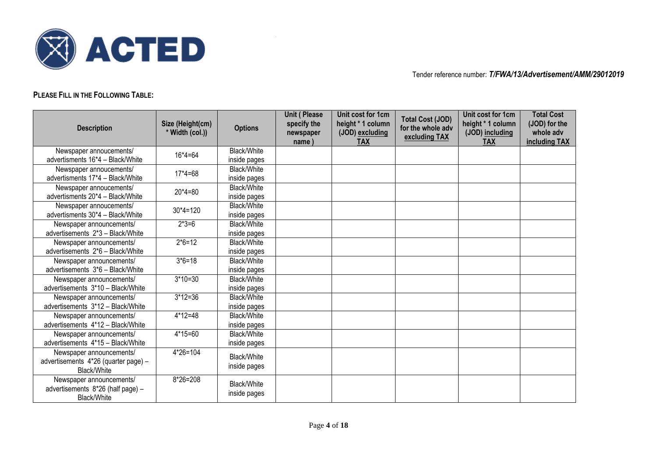

### **PLEASE FILL IN THE FOLLOWING TABLE:**

| <b>Description</b>                                                           | Size (Height(cm)<br>* Width (col.)) | <b>Options</b>              | <b>Unit (Please</b><br>specify the<br>newspaper<br>name) | Unit cost for 1cm<br>height * 1 column<br>(JOD) excluding<br><b>TAX</b> | <b>Total Cost (JOD)</b><br>for the whole adv<br>excluding TAX | Unit cost for 1cm<br>height * 1 column<br>(JOD) including<br><b>TAX</b> | <b>Total Cost</b><br>(JOD) for the<br>whole adv<br>including TAX |
|------------------------------------------------------------------------------|-------------------------------------|-----------------------------|----------------------------------------------------------|-------------------------------------------------------------------------|---------------------------------------------------------------|-------------------------------------------------------------------------|------------------------------------------------------------------|
| Newspaper annoucements/                                                      |                                     | Black/White                 |                                                          |                                                                         |                                                               |                                                                         |                                                                  |
| advertisments 16*4 - Black/White                                             | $16*4=64$                           | inside pages                |                                                          |                                                                         |                                                               |                                                                         |                                                                  |
| Newspaper annoucements/                                                      | $17*4=68$                           | Black/White                 |                                                          |                                                                         |                                                               |                                                                         |                                                                  |
| advertisments 17*4 - Black/White                                             |                                     | inside pages                |                                                          |                                                                         |                                                               |                                                                         |                                                                  |
| Newspaper annoucements/                                                      | $20*4=80$                           | Black/White                 |                                                          |                                                                         |                                                               |                                                                         |                                                                  |
| advertisments 20*4 - Black/White                                             |                                     | inside pages                |                                                          |                                                                         |                                                               |                                                                         |                                                                  |
| Newspaper annoucements/                                                      | $30*4=120$                          | Black/White                 |                                                          |                                                                         |                                                               |                                                                         |                                                                  |
| advertisments 30*4 - Black/White                                             |                                     | inside pages                |                                                          |                                                                         |                                                               |                                                                         |                                                                  |
| Newspaper announcements/                                                     | $2*3=6$                             | Black/White                 |                                                          |                                                                         |                                                               |                                                                         |                                                                  |
| advertisements 2*3 - Black/White                                             |                                     | inside pages                |                                                          |                                                                         |                                                               |                                                                         |                                                                  |
| Newspaper announcements/                                                     | $2*6=12$                            | Black/White                 |                                                          |                                                                         |                                                               |                                                                         |                                                                  |
| advertisements 2*6 - Black/White                                             |                                     | inside pages                |                                                          |                                                                         |                                                               |                                                                         |                                                                  |
| Newspaper announcements/                                                     | $3*6=18$                            | Black/White                 |                                                          |                                                                         |                                                               |                                                                         |                                                                  |
| advertisements 3*6 - Black/White                                             |                                     | inside pages                |                                                          |                                                                         |                                                               |                                                                         |                                                                  |
| Newspaper announcements/                                                     | $3*10=30$                           | Black/White                 |                                                          |                                                                         |                                                               |                                                                         |                                                                  |
| advertisements 3*10 - Black/White                                            |                                     | inside pages                |                                                          |                                                                         |                                                               |                                                                         |                                                                  |
| Newspaper announcements/                                                     | $3*12=36$                           | Black/White                 |                                                          |                                                                         |                                                               |                                                                         |                                                                  |
| advertisements 3*12 - Black/White                                            |                                     | inside pages                |                                                          |                                                                         |                                                               |                                                                         |                                                                  |
| Newspaper announcements/                                                     | $4*12=48$                           | <b>Black/White</b>          |                                                          |                                                                         |                                                               |                                                                         |                                                                  |
| advertisements 4*12 - Black/White                                            |                                     | inside pages                |                                                          |                                                                         |                                                               |                                                                         |                                                                  |
| Newspaper announcements/                                                     | $4*15=60$                           | Black/White                 |                                                          |                                                                         |                                                               |                                                                         |                                                                  |
| advertisements 4*15 - Black/White                                            |                                     | inside pages                |                                                          |                                                                         |                                                               |                                                                         |                                                                  |
| Newspaper announcements/                                                     | $4*26=104$                          | Black/White                 |                                                          |                                                                         |                                                               |                                                                         |                                                                  |
| advertisements 4*26 (quarter page) -                                         |                                     |                             |                                                          |                                                                         |                                                               |                                                                         |                                                                  |
| Black/White                                                                  |                                     | inside pages                |                                                          |                                                                         |                                                               |                                                                         |                                                                  |
| Newspaper announcements/<br>advertisements 8*26 (half page) -<br>Black/White | $8*26=208$                          | Black/White<br>inside pages |                                                          |                                                                         |                                                               |                                                                         |                                                                  |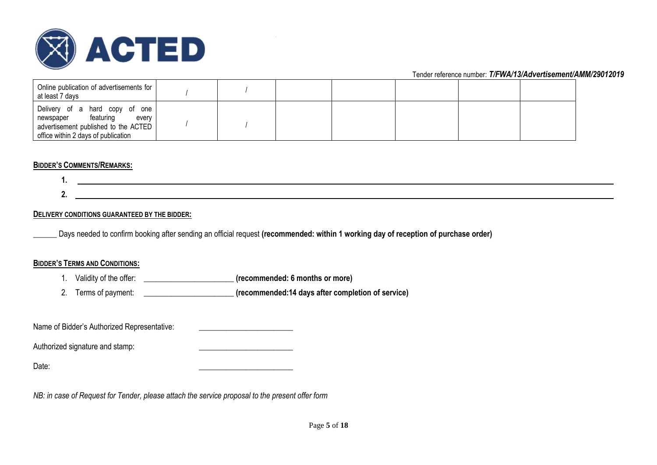

| Online publication of advertisements for<br>at least 7 days                                                                                          |  |  |  |  |
|------------------------------------------------------------------------------------------------------------------------------------------------------|--|--|--|--|
| Delivery of a hard copy of one<br>featuring<br>every  <br>newspaper<br>advertisement published to the ACTED  <br>office within 2 days of publication |  |  |  |  |

### **BIDDER'S COMMENTS/REMARKS:**



### **DELIVERY CONDITIONS GUARANTEED BY THE BIDDER:**

\_\_\_\_\_\_ Days needed to confirm booking after sending an official request **(recommended: within 1 working day of reception of purchase order)**

### **BIDDER'S TERMS AND CONDITIONS:**

- 1. Validity of the offer: \_\_\_\_\_\_\_\_\_\_\_\_\_\_\_\_\_\_\_\_\_\_\_ **(recommended: 6 months or more)**
- 2. Terms of payment: \_\_\_\_\_\_\_\_\_\_\_\_\_\_\_\_\_\_\_\_\_\_\_ **(recommended:14 days after completion of service)**

Name of Bidder's Authorized Representative: \_\_\_\_\_\_\_\_\_\_\_\_\_\_\_\_\_\_\_\_\_\_\_\_

Authorized signature and stamp: \_\_\_\_\_\_\_\_\_\_\_\_\_\_\_\_\_\_\_\_\_\_\_\_

Date: \_\_\_\_\_\_\_\_\_\_\_\_\_\_\_\_\_\_\_\_\_\_\_\_

*NB: in case of Request for Tender, please attach the service proposal to the present offer form*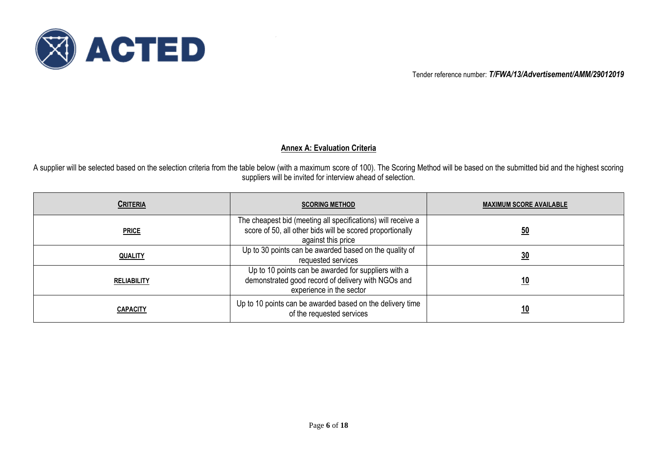

### **Annex A: Evaluation Criteria**

A supplier will be selected based on the selection criteria from the table below (with a maximum score of 100). The Scoring Method will be based on the submitted bid and the highest scoring suppliers will be invited for interview ahead of selection.

| <b>CRITERIA</b>    | <b>SCORING METHOD</b>                                                                                                                           | <b>MAXIMUM SCORE AVAILABLE</b> |
|--------------------|-------------------------------------------------------------------------------------------------------------------------------------------------|--------------------------------|
| <b>PRICE</b>       | The cheapest bid (meeting all specifications) will receive a<br>score of 50, all other bids will be scored proportionally<br>against this price | 50                             |
| <b>QUALITY</b>     | Up to 30 points can be awarded based on the quality of<br>requested services                                                                    | $\underline{30}$               |
| <b>RELIABILITY</b> | Up to 10 points can be awarded for suppliers with a<br>demonstrated good record of delivery with NGOs and<br>experience in the sector           | <u>10</u>                      |
| <b>CAPACITY</b>    | Up to 10 points can be awarded based on the delivery time<br>of the requested services                                                          | <u>10</u>                      |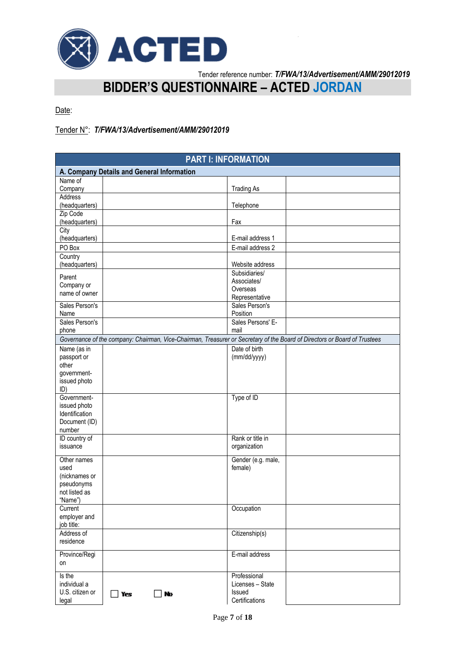

# **BIDDER'S QUESTIONNAIRE – ACTED JORDAN**

Date:

### Tender N°: *T/FWA/13/Advertisement/AMM/29012019*

|                                                                                                                           | <b>PART I: INFORMATION</b> |
|---------------------------------------------------------------------------------------------------------------------------|----------------------------|
| A. Company Details and General Information                                                                                |                            |
| Name of                                                                                                                   |                            |
| Company                                                                                                                   | <b>Trading As</b>          |
| Address                                                                                                                   |                            |
| (headquarters)                                                                                                            | Telephone                  |
| Zip Code                                                                                                                  | Fax                        |
| (headquarters)<br>City                                                                                                    |                            |
| (headquarters)                                                                                                            | E-mail address 1           |
| PO Box                                                                                                                    | E-mail address 2           |
| Country                                                                                                                   |                            |
| (headquarters)                                                                                                            | Website address            |
|                                                                                                                           | Subsidiaries/              |
| Parent                                                                                                                    | Associates/                |
| Company or<br>name of owner                                                                                               | Overseas                   |
|                                                                                                                           | Representative             |
| Sales Person's                                                                                                            | Sales Person's             |
| Name                                                                                                                      | Position                   |
| Sales Person's                                                                                                            | Sales Persons' E-          |
| phone                                                                                                                     | mail                       |
| Governance of the company: Chairman, Vice-Chairman, Treasurer or Secretary of the Board of Directors or Board of Trustees |                            |
| Name (as in                                                                                                               | Date of birth              |
| passport or                                                                                                               | (mm/dd/yyyy)               |
| other<br>government-                                                                                                      |                            |
| issued photo                                                                                                              |                            |
| ID)                                                                                                                       |                            |
| Government-                                                                                                               | Type of ID                 |
| issued photo                                                                                                              |                            |
| Identification                                                                                                            |                            |
| Document (ID)                                                                                                             |                            |
| number                                                                                                                    |                            |
| ID country of                                                                                                             | Rank or title in           |
| issuance                                                                                                                  | organization               |
| Other names                                                                                                               | Gender (e.g. male,         |
| used                                                                                                                      | female)                    |
| (nicknames or                                                                                                             |                            |
| pseudonyms                                                                                                                |                            |
| not listed as                                                                                                             |                            |
| "Name")                                                                                                                   |                            |
| Current                                                                                                                   | Occupation                 |
| employer and                                                                                                              |                            |
| job title:<br>Address of                                                                                                  |                            |
| residence                                                                                                                 | Citizenship(s)             |
|                                                                                                                           |                            |
| Province/Regi                                                                                                             | E-mail address             |
| on                                                                                                                        |                            |
| Is the                                                                                                                    | Professional               |
| individual a                                                                                                              | Licenses - State           |
| U.S. citizen or<br>] Yes<br>No                                                                                            | Issued                     |
| legal                                                                                                                     | Certifications             |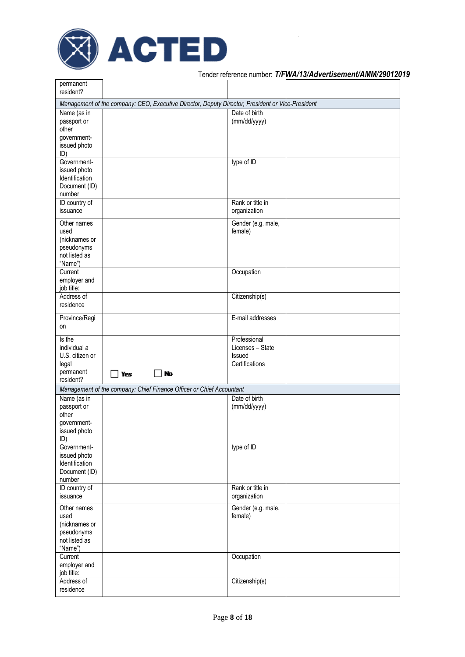

| permanent<br>resident?                                                         |                                                                                                  |                                                                     |  |
|--------------------------------------------------------------------------------|--------------------------------------------------------------------------------------------------|---------------------------------------------------------------------|--|
|                                                                                | Management of the company: CEO, Executive Director, Deputy Director, President or Vice-President |                                                                     |  |
| Name (as in<br>passport or<br>other<br>government-                             |                                                                                                  | Date of birth<br>(mm/dd/yyyy)                                       |  |
| issued photo<br>ID)                                                            |                                                                                                  |                                                                     |  |
| Government-<br>issued photo<br>Identification<br>Document (ID)<br>number       |                                                                                                  | type of ID                                                          |  |
| ID country of<br>issuance                                                      |                                                                                                  | Rank or title in<br>organization                                    |  |
| Other names<br>used<br>(nicknames or<br>pseudonyms<br>not listed as<br>"Name") |                                                                                                  | Gender (e.g. male,<br>female)                                       |  |
| Current<br>employer and<br>job title:                                          |                                                                                                  | Occupation                                                          |  |
| Address of<br>residence                                                        |                                                                                                  | Citizenship(s)                                                      |  |
| Province/Regi<br>on                                                            |                                                                                                  | E-mail addresses                                                    |  |
| Is the<br>individual a<br>U.S. citizen or<br>legal<br>permanent<br>resident?   | No<br>∏ Yes                                                                                      | Professional<br>Licenses - State<br><b>Issued</b><br>Certifications |  |
|                                                                                | Management of the company: Chief Finance Officer or Chief Accountant                             |                                                                     |  |
| Name (as in<br>passport or<br>other<br>government-<br>issued photo<br>ID)      |                                                                                                  | Date of birth<br>(mm/dd/yyyy)                                       |  |
| Government-<br>issued photo<br>Identification<br>Document (ID)<br>number       |                                                                                                  | type of ID                                                          |  |
| ID country of<br>issuance                                                      |                                                                                                  | Rank or title in<br>organization                                    |  |
| Other names<br>used<br>(nicknames or<br>pseudonyms<br>not listed as<br>"Name") |                                                                                                  | Gender (e.g. male,<br>female)                                       |  |
| Current<br>employer and<br>job title:                                          |                                                                                                  | Occupation                                                          |  |
| Address of<br>residence                                                        |                                                                                                  | Citizenship(s)                                                      |  |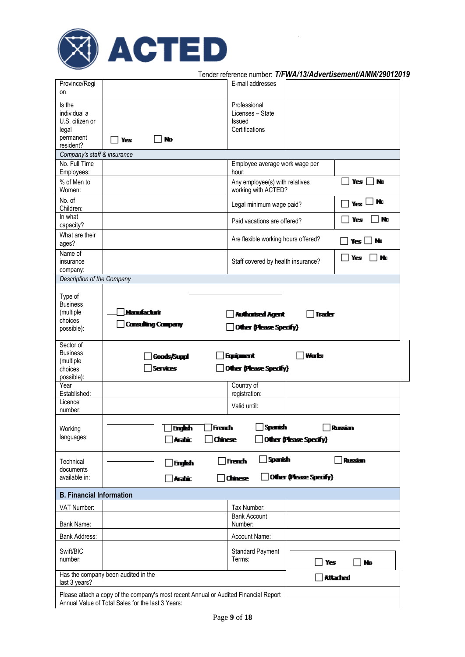

|                                                                              |                                                                                      | Tender reference number: T/FWA/13/Advertisement/AMM/29012019    |                 |
|------------------------------------------------------------------------------|--------------------------------------------------------------------------------------|-----------------------------------------------------------------|-----------------|
| Province/Regi<br>on                                                          |                                                                                      | E-mail addresses                                                |                 |
| Is the<br>individual a<br>U.S. citizen or<br>legal<br>permanent<br>resident? | No<br>Yes                                                                            | Professional<br>Licenses - State<br>Issued<br>Certifications    |                 |
| Company's staff & insurance                                                  |                                                                                      |                                                                 |                 |
| No. Full Time<br>Employees:                                                  |                                                                                      | Employee average work wage per<br>hour:                         |                 |
| % of Men to<br>Women:                                                        |                                                                                      | Any employee(s) with relatives<br>working with ACTED?           | No<br>Yes       |
| No. of<br>Children:                                                          |                                                                                      | Legal minimum wage paid?                                        | No<br>Yes       |
| In what<br>capacity?                                                         |                                                                                      | Paid vacations are offered?                                     | No<br>Yes       |
| What are their<br>ages?                                                      |                                                                                      | Are flexible working hours offered?                             | l No<br>Yes (   |
| Name of<br>insurance<br>company:                                             |                                                                                      | Staff covered by health insurance?                              | Yes<br>No       |
| Description of the Company                                                   |                                                                                      |                                                                 |                 |
| (multiple<br>choices<br>possible):<br>Sector of<br><b>Business</b>           | <b>Consulting Company</b>                                                            | Authorised Agent<br>Trader<br>Other (Please Specify)            |                 |
| (multiple<br>choices<br>possible):                                           | Goods/Suppl<br>Services                                                              | <b>Equipment</b><br>Wats<br>Other (Please Specify)              |                 |
| Year<br>Established:                                                         |                                                                                      | Country of<br>registration:                                     |                 |
| Licence<br>number:                                                           |                                                                                      | Valid until:                                                    |                 |
| Working<br>languages:                                                        | <b>French</b><br>English<br>Arabic<br><b>Chinese</b>                                 | Spanish<br>Other (Please Specify)                               | Russian         |
| Technical<br>documents<br>available in:                                      | <b>English</b><br>Arabic                                                             | Spanish<br>∏ French<br>Other (Please Specify)<br><b>Chinese</b> | Russian         |
| <b>B. Financial Information</b>                                              |                                                                                      |                                                                 |                 |
| VAT Number:                                                                  |                                                                                      | Tax Number:                                                     |                 |
| Bank Name:                                                                   |                                                                                      | <b>Bank Account</b><br>Number:                                  |                 |
| Bank Address:                                                                |                                                                                      | Account Name:                                                   |                 |
| Swift/BIC<br>number:                                                         |                                                                                      | <b>Standard Payment</b><br>Terms:<br>Yes                        | No              |
| last 3 years?                                                                | Has the company been audited in the                                                  |                                                                 | <b>Attached</b> |
|                                                                              | Please attach a copy of the company's most recent Annual or Audited Financial Report |                                                                 |                 |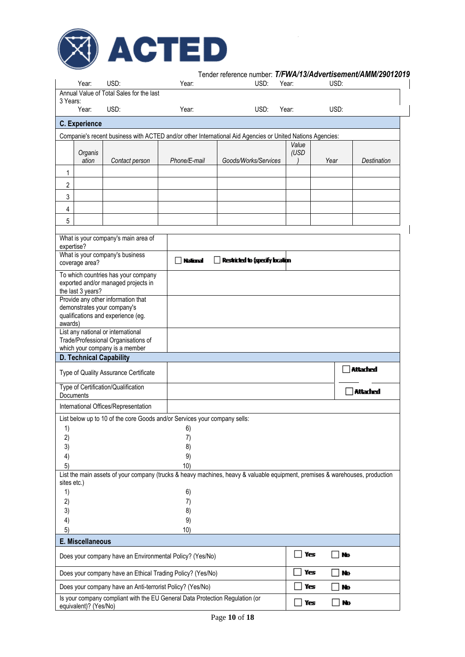

|          | Year:                | USD:                                                                                                                                      | Year:        | Tender reference number: T/FWA/13/Advertisement/AMM/29012019<br>USD: | Year: | USD: |                 |
|----------|----------------------|-------------------------------------------------------------------------------------------------------------------------------------------|--------------|----------------------------------------------------------------------|-------|------|-----------------|
|          |                      | Annual Value of Total Sales for the last                                                                                                  |              |                                                                      |       |      |                 |
| 3 Years: | Year:                | USD:                                                                                                                                      | Year:        | USD:                                                                 | Year: | USD: |                 |
|          | <b>C.</b> Experience |                                                                                                                                           |              |                                                                      |       |      |                 |
|          |                      | Companie's recent business with ACTED and/or other International Aid Agencies or United Nations Agencies:                                 |              |                                                                      |       |      |                 |
|          |                      |                                                                                                                                           |              |                                                                      | Value |      |                 |
|          | Organis<br>ation     | Contact person                                                                                                                            | Phone/E-mail | Goods/Works/Services                                                 | (USD  | Year | Destination     |
| 1        |                      |                                                                                                                                           |              |                                                                      |       |      |                 |
|          |                      |                                                                                                                                           |              |                                                                      |       |      |                 |
| 2        |                      |                                                                                                                                           |              |                                                                      |       |      |                 |
| 3        |                      |                                                                                                                                           |              |                                                                      |       |      |                 |
| 4        |                      |                                                                                                                                           |              |                                                                      |       |      |                 |
| 5        |                      |                                                                                                                                           |              |                                                                      |       |      |                 |
|          |                      | What is your company's main area of                                                                                                       |              |                                                                      |       |      |                 |
|          | expertise?           |                                                                                                                                           |              |                                                                      |       |      |                 |
|          | coverage area?       | What is your company's business                                                                                                           | National     | Restricted to (specify location                                      |       |      |                 |
|          |                      | To which countries has your company                                                                                                       |              |                                                                      |       |      |                 |
|          |                      | exported and/or managed projects in                                                                                                       |              |                                                                      |       |      |                 |
|          | the last 3 years?    |                                                                                                                                           |              |                                                                      |       |      |                 |
|          |                      | Provide any other information that<br>demonstrates your company's                                                                         |              |                                                                      |       |      |                 |
|          |                      | qualifications and experience (eg.                                                                                                        |              |                                                                      |       |      |                 |
| awards)  |                      | List any national or international                                                                                                        |              |                                                                      |       |      |                 |
|          |                      | Trade/Professional Organisations of                                                                                                       |              |                                                                      |       |      |                 |
|          |                      | which your company is a member                                                                                                            |              |                                                                      |       |      |                 |
|          |                      | <b>D. Technical Capability</b>                                                                                                            |              |                                                                      |       |      |                 |
|          |                      | Type of Quality Assurance Certificate                                                                                                     |              |                                                                      |       |      | Attached        |
|          |                      | Type of Certification/Qualification                                                                                                       |              |                                                                      |       |      | <b>Attached</b> |
|          | <b>Documents</b>     |                                                                                                                                           |              |                                                                      |       |      |                 |
|          |                      | International Offices/Representation                                                                                                      |              |                                                                      |       |      |                 |
|          |                      | List below up to 10 of the core Goods and/or Services your company sells:                                                                 |              |                                                                      |       |      |                 |
| 1)       |                      |                                                                                                                                           | 6)<br>7)     |                                                                      |       |      |                 |
| 2)<br>3) |                      |                                                                                                                                           | 8)           |                                                                      |       |      |                 |
| 4)       |                      |                                                                                                                                           | 9)           |                                                                      |       |      |                 |
| 5)       |                      |                                                                                                                                           | 10)          |                                                                      |       |      |                 |
|          | sites etc.)          | List the main assets of your company (trucks & heavy machines, heavy & valuable equipment, premises & warehouses, production              |              |                                                                      |       |      |                 |
| 1)       |                      |                                                                                                                                           | 6)           |                                                                      |       |      |                 |
| 2)       |                      |                                                                                                                                           | 7)           |                                                                      |       |      |                 |
| 3)       |                      |                                                                                                                                           | 8)           |                                                                      |       |      |                 |
| 4)       |                      |                                                                                                                                           | 9)           |                                                                      |       |      |                 |
| 5)       |                      |                                                                                                                                           | 10)          |                                                                      |       |      |                 |
|          | E. Miscellaneous     |                                                                                                                                           |              |                                                                      | Yes   | No   |                 |
|          |                      | Does your company have an Environmental Policy? (Yes/No)                                                                                  |              |                                                                      |       |      |                 |
|          |                      | Does your company have an Ethical Trading Policy? (Yes/No)                                                                                |              |                                                                      | Yes   | No   |                 |
|          |                      |                                                                                                                                           |              |                                                                      |       |      |                 |
|          |                      | Does your company have an Anti-terrorist Policy? (Yes/No)<br>Is your company compliant with the EU General Data Protection Regulation (or |              |                                                                      | Yes   | No   |                 |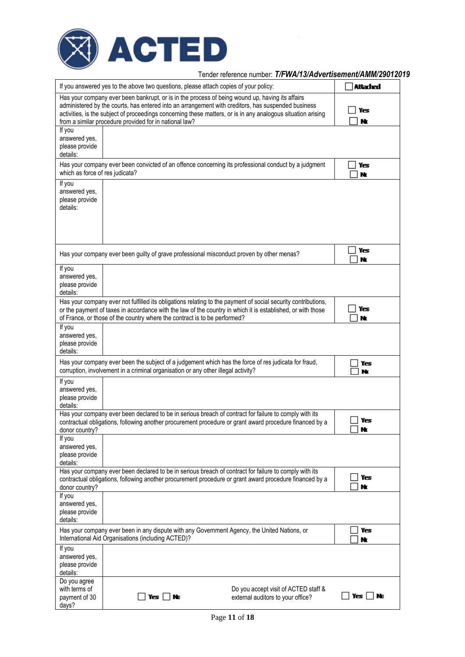

| If you answered yes to the above two questions, please attach copies of your policy:                                                                                                                                                                                                                                                                                            | Attached                                                                                                                                                                                                                                                                                                  |             |
|---------------------------------------------------------------------------------------------------------------------------------------------------------------------------------------------------------------------------------------------------------------------------------------------------------------------------------------------------------------------------------|-----------------------------------------------------------------------------------------------------------------------------------------------------------------------------------------------------------------------------------------------------------------------------------------------------------|-------------|
| Has your company ever been bankrupt, or is in the process of being wound up, having its affairs<br>administered by the courts, has entered into an arrangement with creditors, has suspended business<br>activities, is the subject of proceedings concerning these matters, or is in any analogous situation arising<br>from a similar procedure provided for in national law? | Yes<br>Nr                                                                                                                                                                                                                                                                                                 |             |
| If you<br>answered yes,<br>please provide<br>details:                                                                                                                                                                                                                                                                                                                           |                                                                                                                                                                                                                                                                                                           |             |
| which as force of res judicata?                                                                                                                                                                                                                                                                                                                                                 | Has your company ever been convicted of an offence concerning its professional conduct by a judgment                                                                                                                                                                                                      | Yes<br>Nt   |
| If you<br>answered yes.<br>please provide<br>details:                                                                                                                                                                                                                                                                                                                           |                                                                                                                                                                                                                                                                                                           |             |
|                                                                                                                                                                                                                                                                                                                                                                                 | Has your company ever been guilty of grave professional misconduct proven by other menas?                                                                                                                                                                                                                 | Yes<br>Nr   |
| If you<br>answered yes,<br>please provide<br>details:                                                                                                                                                                                                                                                                                                                           |                                                                                                                                                                                                                                                                                                           |             |
|                                                                                                                                                                                                                                                                                                                                                                                 | Has your company ever not fulfilled its obligations relating to the payment of social security contributions,<br>or the payment of taxes in accordance with the law of the country in which it is established, or with those<br>of France, or those of the country where the contract is to be performed? | Yes<br>Nr   |
| If you<br>answered yes,<br>please provide<br>details:                                                                                                                                                                                                                                                                                                                           |                                                                                                                                                                                                                                                                                                           |             |
|                                                                                                                                                                                                                                                                                                                                                                                 | Has your company ever been the subject of a judgement which has the force of res judicata for fraud,<br>corruption, involvement in a criminal organisation or any other illegal activity?                                                                                                                 | Yes<br>N    |
| If you<br>answered yes,<br>please provide<br>details:                                                                                                                                                                                                                                                                                                                           |                                                                                                                                                                                                                                                                                                           |             |
| donor country?                                                                                                                                                                                                                                                                                                                                                                  | Has your company ever been declared to be in serious breach of contract for failure to comply with its<br>contractual obligations, following another procurement procedure or grant award procedure financed by a                                                                                         | Yes<br>Nt   |
| If you<br>answered yes,<br>please provide<br>details:                                                                                                                                                                                                                                                                                                                           |                                                                                                                                                                                                                                                                                                           |             |
| donor country?                                                                                                                                                                                                                                                                                                                                                                  | Has your company ever been declared to be in serious breach of contract for failure to comply with its<br>contractual obligations, following another procurement procedure or grant award procedure financed by a                                                                                         | Yes<br>Nr   |
| If you<br>answered yes,<br>please provide<br>details:                                                                                                                                                                                                                                                                                                                           |                                                                                                                                                                                                                                                                                                           |             |
|                                                                                                                                                                                                                                                                                                                                                                                 | Has your company ever been in any dispute with any Government Agency, the United Nations, or<br>International Aid Organisations (including ACTED)?                                                                                                                                                        | Yes<br>Nr   |
| If you<br>answered yes,<br>please provide<br>details:                                                                                                                                                                                                                                                                                                                           |                                                                                                                                                                                                                                                                                                           |             |
| Do you agree<br>with terms of<br>payment of 30<br>days?                                                                                                                                                                                                                                                                                                                         | Do you accept visit of ACTED staff &<br>Yes (<br>external auditors to your office?                                                                                                                                                                                                                        | Yes<br>∣ No |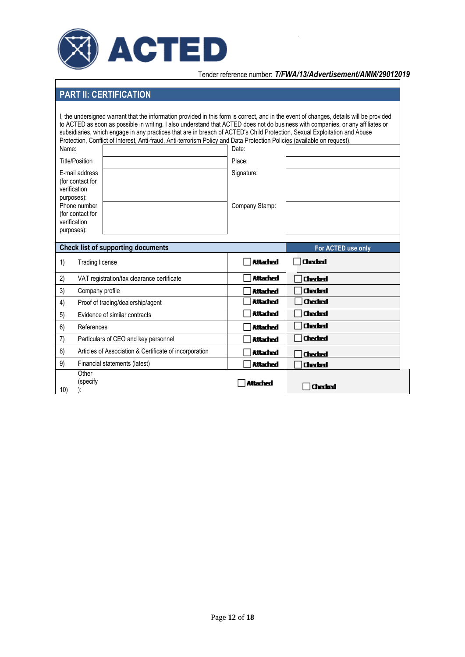

### **PART II: CERTIFICATION**

| I, the undersigned warrant that the information provided in this form is correct, and in the event of changes, details will be provided<br>to ACTED as soon as possible in writing. I also understand that ACTED does not do business with companies, or any affiliates or<br>subsidiaries, which engage in any practices that are in breach of ACTED's Child Protection, Sexual Exploitation and Abuse<br>Protection, Conflict of Interest, Anti-fraud, Anti-terrorism Policy and Data Protection Policies (available on request).<br>Name:<br>Date: |                 |                |  |  |  |  |  |
|-------------------------------------------------------------------------------------------------------------------------------------------------------------------------------------------------------------------------------------------------------------------------------------------------------------------------------------------------------------------------------------------------------------------------------------------------------------------------------------------------------------------------------------------------------|-----------------|----------------|--|--|--|--|--|
| <b>Title/Position</b>                                                                                                                                                                                                                                                                                                                                                                                                                                                                                                                                 | Place:          |                |  |  |  |  |  |
| E-mail address<br>(for contact for<br>verification<br>purposes):                                                                                                                                                                                                                                                                                                                                                                                                                                                                                      | Signature:      |                |  |  |  |  |  |
| Phone number<br>(for contact for<br>verification<br>purposes):                                                                                                                                                                                                                                                                                                                                                                                                                                                                                        | Company Stamp:  |                |  |  |  |  |  |
| <b>Check list of supporting documents</b><br>For ACTED use only                                                                                                                                                                                                                                                                                                                                                                                                                                                                                       |                 |                |  |  |  |  |  |
| 1)<br><b>Trading license</b>                                                                                                                                                                                                                                                                                                                                                                                                                                                                                                                          | Attached        | <b>Checked</b> |  |  |  |  |  |
| 2)<br>VAT registration/tax clearance certificate                                                                                                                                                                                                                                                                                                                                                                                                                                                                                                      | <b>Attached</b> | <b>Checked</b> |  |  |  |  |  |
| 3)<br>Company profile                                                                                                                                                                                                                                                                                                                                                                                                                                                                                                                                 | <b>Attached</b> | <b>Checked</b> |  |  |  |  |  |
| 4)<br>Proof of trading/dealership/agent                                                                                                                                                                                                                                                                                                                                                                                                                                                                                                               | Attached        | <b>Checked</b> |  |  |  |  |  |
| Evidence of similar contracts<br>5)                                                                                                                                                                                                                                                                                                                                                                                                                                                                                                                   | Attached        | <b>Checked</b> |  |  |  |  |  |
| 6)<br>References                                                                                                                                                                                                                                                                                                                                                                                                                                                                                                                                      | <b>Attached</b> | <b>Checked</b> |  |  |  |  |  |
| 7)<br>Particulars of CEO and key personnel                                                                                                                                                                                                                                                                                                                                                                                                                                                                                                            | <b>Attached</b> | <b>Checked</b> |  |  |  |  |  |
| 8)<br>Articles of Association & Certificate of incorporation                                                                                                                                                                                                                                                                                                                                                                                                                                                                                          | <b>Attached</b> | <b>Checked</b> |  |  |  |  |  |
| 9)<br>Financial statements (latest)                                                                                                                                                                                                                                                                                                                                                                                                                                                                                                                   | Attached        | <b>Checked</b> |  |  |  |  |  |
| Other<br>(specify<br>10)<br>):                                                                                                                                                                                                                                                                                                                                                                                                                                                                                                                        | Attached        | Cheded         |  |  |  |  |  |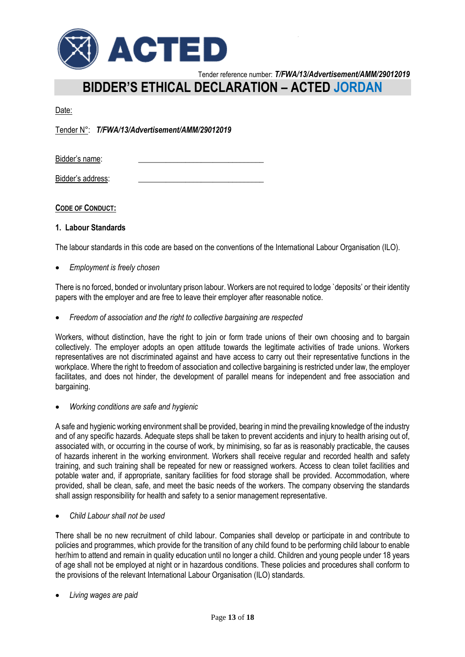

## **BIDDER'S ETHICAL DECLARATION – ACTED JORDAN**

Date:

Tender N°: *T/FWA/13/Advertisement/AMM/29012019*

Bidder's name:

Bidder's address:

### **CODE OF CONDUCT:**

### **1. Labour Standards**

The labour standards in this code are based on the conventions of the International Labour Organisation (ILO).

*Employment is freely chosen*

There is no forced, bonded or involuntary prison labour. Workers are not required to lodge `deposits' or their identity papers with the employer and are free to leave their employer after reasonable notice.

*Freedom of association and the right to collective bargaining are respected*

Workers, without distinction, have the right to join or form trade unions of their own choosing and to bargain collectively. The employer adopts an open attitude towards the legitimate activities of trade unions. Workers representatives are not discriminated against and have access to carry out their representative functions in the workplace. Where the right to freedom of association and collective bargaining is restricted under law, the employer facilitates, and does not hinder, the development of parallel means for independent and free association and bargaining.

*Working conditions are safe and hygienic*

A safe and hygienic working environment shall be provided, bearing in mind the prevailing knowledge of the industry and of any specific hazards. Adequate steps shall be taken to prevent accidents and injury to health arising out of, associated with, or occurring in the course of work, by minimising, so far as is reasonably practicable, the causes of hazards inherent in the working environment. Workers shall receive regular and recorded health and safety training, and such training shall be repeated for new or reassigned workers. Access to clean toilet facilities and potable water and, if appropriate, sanitary facilities for food storage shall be provided. Accommodation, where provided, shall be clean, safe, and meet the basic needs of the workers. The company observing the standards shall assign responsibility for health and safety to a senior management representative.

*Child Labour shall not be used*

There shall be no new recruitment of child labour. Companies shall develop or participate in and contribute to policies and programmes, which provide for the transition of any child found to be performing child labour to enable her/him to attend and remain in quality education until no longer a child. Children and young people under 18 years of age shall not be employed at night or in hazardous conditions. These policies and procedures shall conform to the provisions of the relevant International Labour Organisation (ILO) standards.

*Living wages are paid*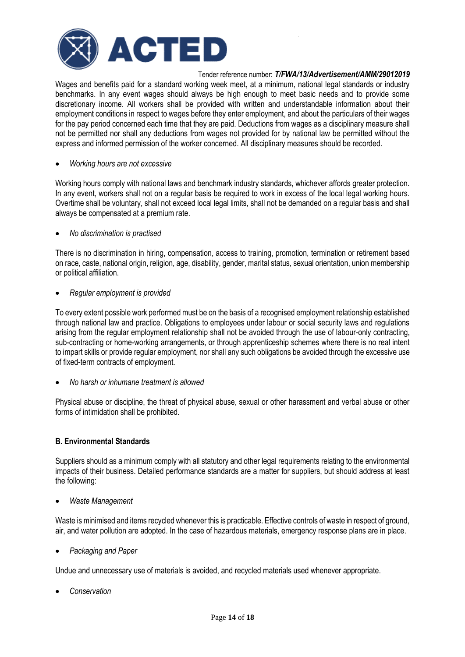

Wages and benefits paid for a standard working week meet, at a minimum, national legal standards or industry benchmarks. In any event wages should always be high enough to meet basic needs and to provide some discretionary income. All workers shall be provided with written and understandable information about their employment conditions in respect to wages before they enter employment, and about the particulars of their wages for the pay period concerned each time that they are paid. Deductions from wages as a disciplinary measure shall not be permitted nor shall any deductions from wages not provided for by national law be permitted without the express and informed permission of the worker concerned. All disciplinary measures should be recorded.

### *Working hours are not excessive*

Working hours comply with national laws and benchmark industry standards, whichever affords greater protection. In any event, workers shall not on a regular basis be required to work in excess of the local legal working hours. Overtime shall be voluntary, shall not exceed local legal limits, shall not be demanded on a regular basis and shall always be compensated at a premium rate.

### *No discrimination is practised*

There is no discrimination in hiring, compensation, access to training, promotion, termination or retirement based on race, caste, national origin, religion, age, disability, gender, marital status, sexual orientation, union membership or political affiliation.

### *Regular employment is provided*

To every extent possible work performed must be on the basis of a recognised employment relationship established through national law and practice. Obligations to employees under labour or social security laws and regulations arising from the regular employment relationship shall not be avoided through the use of labour-only contracting, sub-contracting or home-working arrangements, or through apprenticeship schemes where there is no real intent to impart skills or provide regular employment, nor shall any such obligations be avoided through the excessive use of fixed-term contracts of employment.

*No harsh or inhumane treatment is allowed*

Physical abuse or discipline, the threat of physical abuse, sexual or other harassment and verbal abuse or other forms of intimidation shall be prohibited.

### **B. Environmental Standards**

Suppliers should as a minimum comply with all statutory and other legal requirements relating to the environmental impacts of their business. Detailed performance standards are a matter for suppliers, but should address at least the following:

*Waste Management*

Waste is minimised and items recycled whenever this is practicable. Effective controls of waste in respect of ground, air, and water pollution are adopted. In the case of hazardous materials, emergency response plans are in place.

*Packaging and Paper*

Undue and unnecessary use of materials is avoided, and recycled materials used whenever appropriate.

*Conservation*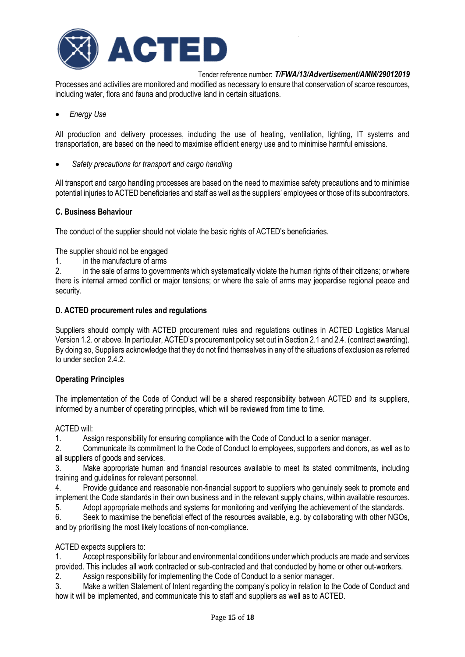

Processes and activities are monitored and modified as necessary to ensure that conservation of scarce resources, including water, flora and fauna and productive land in certain situations.

*Energy Use* 

All production and delivery processes, including the use of heating, ventilation, lighting, IT systems and transportation, are based on the need to maximise efficient energy use and to minimise harmful emissions.

*Safety precautions for transport and cargo handling*

All transport and cargo handling processes are based on the need to maximise safety precautions and to minimise potential injuries to ACTED beneficiaries and staff as well as the suppliers' employees or those of its subcontractors.

### **C. Business Behaviour**

The conduct of the supplier should not violate the basic rights of ACTED's beneficiaries.

The supplier should not be engaged

1. in the manufacture of arms<br>2. in the sale of arms to govern

2. in the sale of arms to governments which systematically violate the human rights of their citizens; or where there is internal armed conflict or major tensions; or where the sale of arms may jeopardise regional peace and security.

### **D. ACTED procurement rules and regulations**

Suppliers should comply with ACTED procurement rules and regulations outlines in ACTED Logistics Manual Version 1.2. or above. In particular, ACTED's procurement policy set out in Section 2.1 and 2.4. (contract awarding). By doing so, Suppliers acknowledge that they do not find themselves in any of the situations of exclusion as referred to under section 2.4.2.

### **Operating Principles**

The implementation of the Code of Conduct will be a shared responsibility between ACTED and its suppliers, informed by a number of operating principles, which will be reviewed from time to time.

### ACTED will:

1. Assign responsibility for ensuring compliance with the Code of Conduct to a senior manager.

2. Communicate its commitment to the Code of Conduct to employees, supporters and donors, as well as to all suppliers of goods and services.

3. Make appropriate human and financial resources available to meet its stated commitments, including training and guidelines for relevant personnel.

4. Provide guidance and reasonable non-financial support to suppliers who genuinely seek to promote and implement the Code standards in their own business and in the relevant supply chains, within available resources.

5. Adopt appropriate methods and systems for monitoring and verifying the achievement of the standards.

6. Seek to maximise the beneficial effect of the resources available, e.g. by collaborating with other NGOs, and by prioritising the most likely locations of non-compliance.

### ACTED expects suppliers to:

1. Accept responsibility for labour and environmental conditions under which products are made and services provided. This includes all work contracted or sub-contracted and that conducted by home or other out-workers.

2. Assign responsibility for implementing the Code of Conduct to a senior manager.

3. Make a written Statement of Intent regarding the company's policy in relation to the Code of Conduct and how it will be implemented, and communicate this to staff and suppliers as well as to ACTED.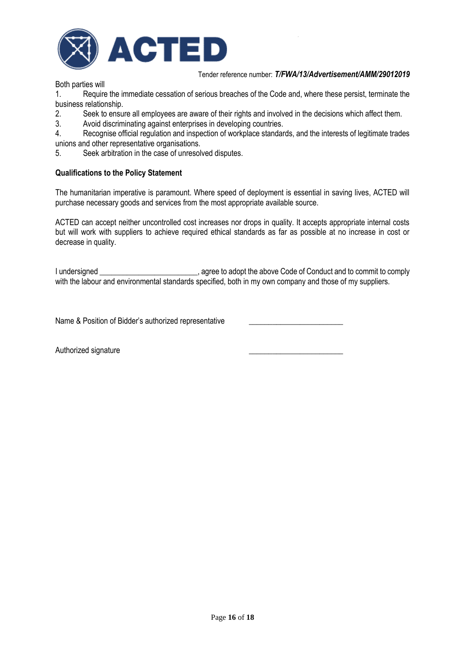

Both parties will

1. Require the immediate cessation of serious breaches of the Code and, where these persist, terminate the business relationship.

2. Seek to ensure all employees are aware of their rights and involved in the decisions which affect them.

3. Avoid discriminating against enterprises in developing countries.

4. Recognise official regulation and inspection of workplace standards, and the interests of legitimate trades unions and other representative organisations.

5. Seek arbitration in the case of unresolved disputes.

### **Qualifications to the Policy Statement**

The humanitarian imperative is paramount. Where speed of deployment is essential in saving lives, ACTED will purchase necessary goods and services from the most appropriate available source.

ACTED can accept neither uncontrolled cost increases nor drops in quality. It accepts appropriate internal costs but will work with suppliers to achieve required ethical standards as far as possible at no increase in cost or decrease in quality.

I undersigned \_\_\_\_\_\_\_\_\_\_\_\_\_\_\_\_\_\_\_\_\_\_\_\_\_\_\_, agree to adopt the above Code of Conduct and to commit to comply with the labour and environmental standards specified, both in my own company and those of my suppliers.

Name & Position of Bidder's authorized representative

Authorized signature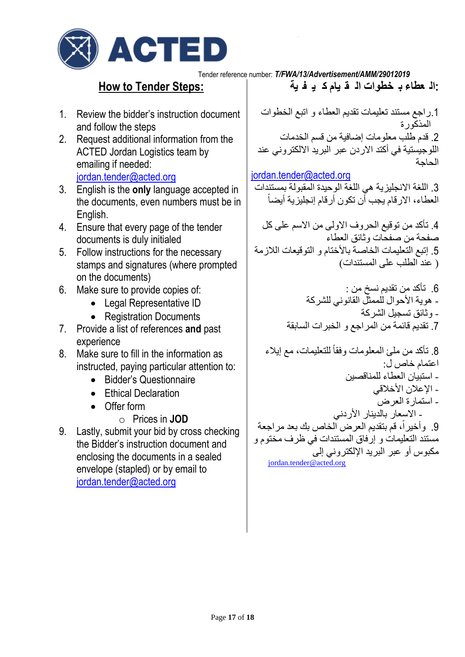

### **How to Tender Steps:**

- 1. Review the bidder's instruction document and follow the steps
- 2. Request additional information from the ACTED Jordan Logistics team by emailing if needed: [jordan.tender@acted.org](mailto:jordan.tender@acted.org)
- 3. English is the **only** language accepted in the documents, even numbers must be in English.
- 4. Ensure that every page of the tender documents is duly initialed
- 5. Follow instructions for the necessary stamps and signatures (where prompted on the documents)
- 6. Make sure to provide copies of:
	- Legal Representative ID
	- Registration Documents
- 7. Provide a list of references **and** past experience
- 8. Make sure to fill in the information as instructed, paying particular attention to:
	- Bidder's Questionnaire
	- Ethical Declaration
	- Offer form
		- o Prices in **JOD**
- 9. Lastly, submit your bid by cross checking the Bidder's instruction document and enclosing the documents in a sealed envelope (stapled) or by email to [jordan.tender@acted.org](mailto:jordan.tender@acted.org)

**:ال عطاء ب خطوات ال ق يام ك ي ف ية**

.1راجع مستند تعليمات تقديم العطاء و اتبع الخطوات المذكورة .2 قدم طلب معلومات إضافية من قسم الخدمات اللوجيستية في أكتد االردن عبر البريد االلكتروني عند الحاجة

### [jordan.tender@acted.org](mailto:jordan.tender@acted.org)

3. اللغة الانجليز ية هي اللغة الوحيدة المقبولة بمستندات ĺ العطاء، االرقام يجب أن تكون أرقام إنجليزية أيضا

.4 تأكد من توقيع الحروف االولى من االسم على كل صفحة من صفحات وثائق العطاء 5. إتبع التعليمات الخاصة بالأختام و التوقيعات اللازمة ) عند الطلب على المستندات(

> .6 تأكد من تقديم نسخ من : -.<br>- هوية الأحوال للممثل القانوني للشركة - وثائق تسجيل الشركة .7 تقديم قائمة من المراجع و الخبرات السابقة

8. تأكد من ملئ المعلومات وفقاً للتعليمات، مع إيلاء ĺ اعتمام خاص ل: - استبيان العطاء للمناقصين - اإلعالن األخالقي - استمارة العرض - االسعار بالدينار األردني 9. وأخيراً، قم بتقديم العرض الخاص بك بعد مراجعة  $\ddot{ }$ مستند التعليمات و إرفاق المستندات في ظرف مختوم و مكبوس أو عبر البريد اإللكتروني إلى jordan.tender@acted.org